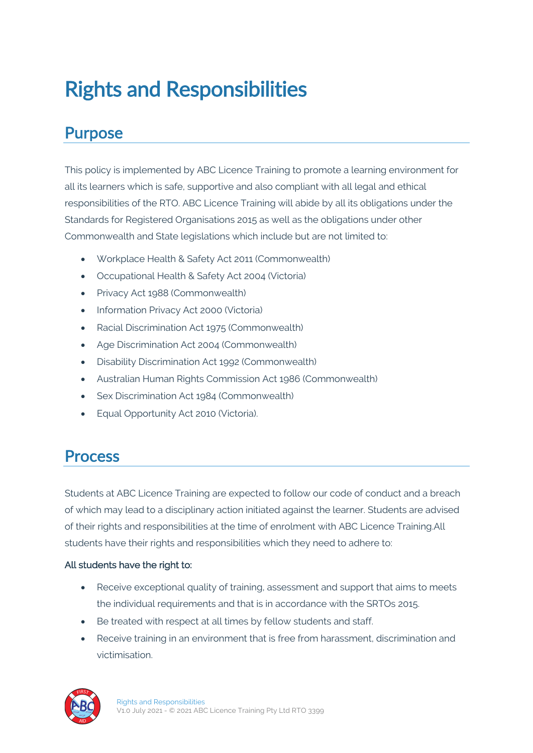# Rights and Responsibilities

### Purpose

This policy is implemented by ABC Licence Training to promote a learning environment for all its learners which is safe, supportive and also compliant with all legal and ethical responsibilities of the RTO. ABC Licence Training will abide by all its obligations under the Standards for Registered Organisations 2015 as well as the obligations under other Commonwealth and State legislations which include but are not limited to:

- Workplace Health & Safety Act 2011 (Commonwealth)
- Occupational Health & Safety Act 2004 (Victoria)
- Privacy Act 1988 (Commonwealth)
- Information Privacy Act 2000 (Victoria)
- Racial Discrimination Act 1975 (Commonwealth)
- Age Discrimination Act 2004 (Commonwealth)
- Disability Discrimination Act 1992 (Commonwealth)
- Australian Human Rights Commission Act 1986 (Commonwealth)
- Sex Discrimination Act 1984 (Commonwealth)
- Equal Opportunity Act 2010 (Victoria).

### **Process**

Students at ABC Licence Training are expected to follow our code of conduct and a breach of which may lead to a disciplinary action initiated against the learner. Students are advised of their rights and responsibilities at the time of enrolment with ABC Licence Training.All students have their rights and responsibilities which they need to adhere to:

#### All students have the right to:

- Receive exceptional quality of training, assessment and support that aims to meets the individual requirements and that is in accordance with the SRTOs 2015.
- Be treated with respect at all times by fellow students and staff.
- Receive training in an environment that is free from harassment, discrimination and victimisation.

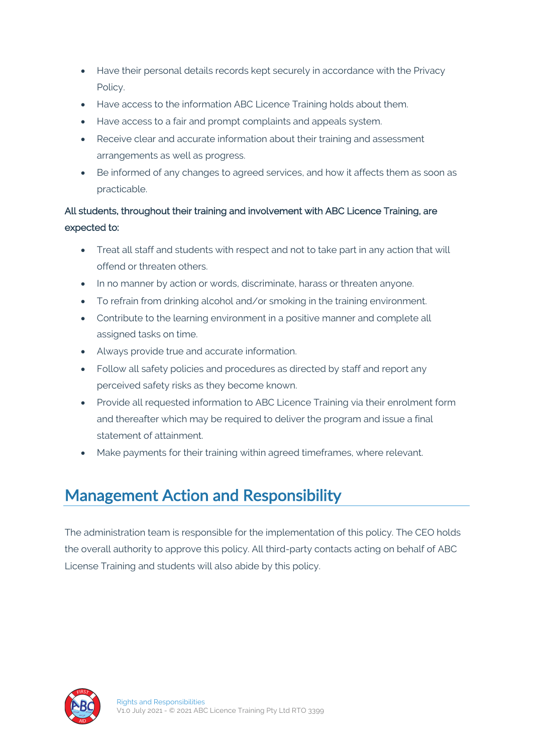- Have their personal details records kept securely in accordance with the Privacy Policy.
- Have access to the information ABC Licence Training holds about them.
- Have access to a fair and prompt complaints and appeals system.
- Receive clear and accurate information about their training and assessment arrangements as well as progress.
- Be informed of any changes to agreed services, and how it affects them as soon as practicable.

### All students, throughout their training and involvement with ABC Licence Training, are expected to:

- Treat all staff and students with respect and not to take part in any action that will offend or threaten others.
- In no manner by action or words, discriminate, harass or threaten anyone.
- To refrain from drinking alcohol and/or smoking in the training environment.
- Contribute to the learning environment in a positive manner and complete all assigned tasks on time.
- Always provide true and accurate information.
- Follow all safety policies and procedures as directed by staff and report any perceived safety risks as they become known.
- Provide all requested information to ABC Licence Training via their enrolment form and thereafter which may be required to deliver the program and issue a final statement of attainment.
- Make payments for their training within agreed timeframes, where relevant.

### Management Action and Responsibility

The administration team is responsible for the implementation of this policy. The CEO holds the overall authority to approve this policy. All third-party contacts acting on behalf of ABC License Training and students will also abide by this policy.